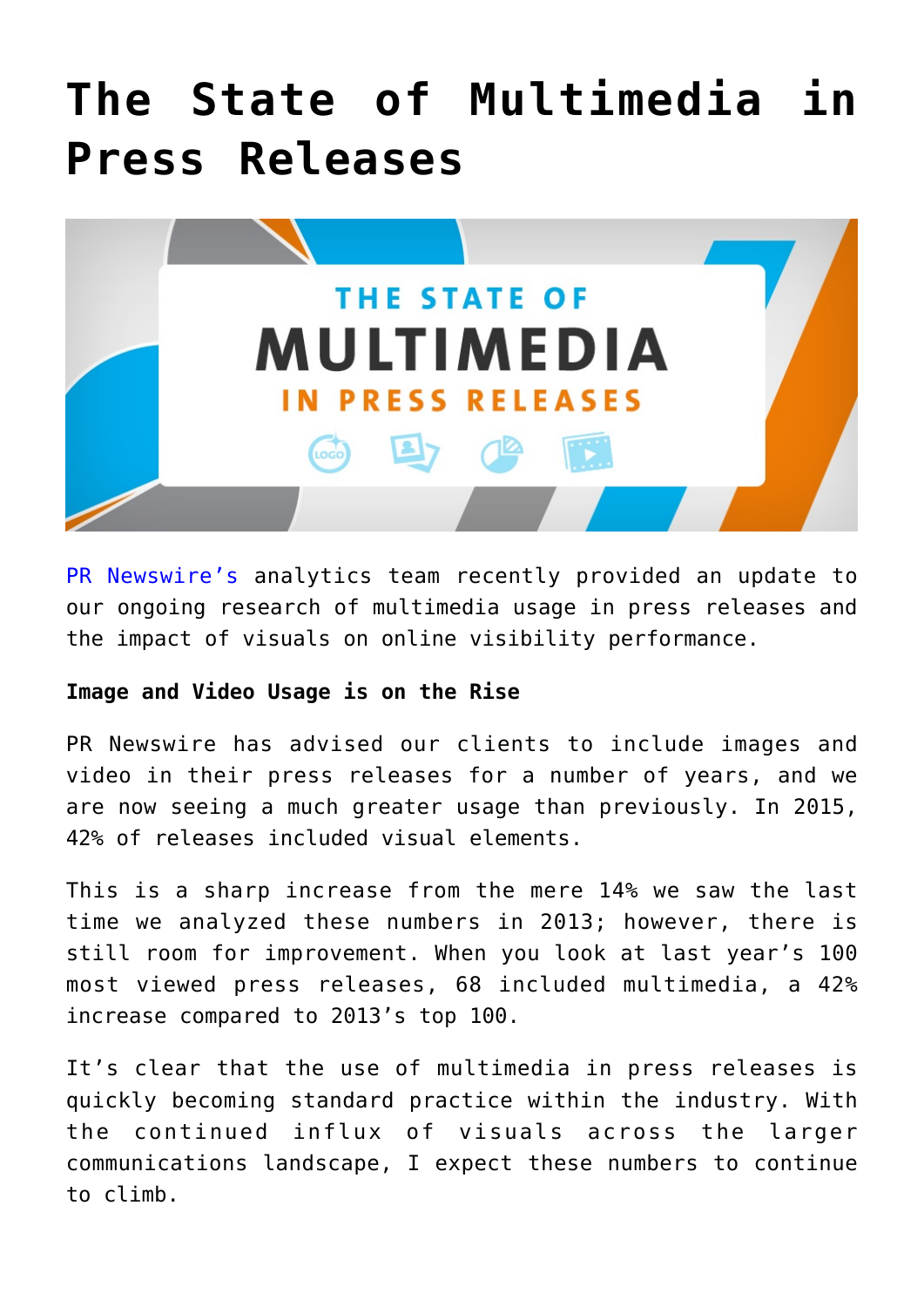# **[The State of Multimedia in](https://www.commpro.biz/the-state-of-multimedia-in-press-releases/) [Press Releases](https://www.commpro.biz/the-state-of-multimedia-in-press-releases/)**



[PR Newswire's](https://www.commpro.biz/agile-engagement-channel/) analytics team recently provided an update to our ongoing research of multimedia usage in press releases and the impact of visuals on online visibility performance.

#### **Image and Video Usage is on the Rise**

PR Newswire has advised our clients to include images and video in their press releases for a number of years, and we are now seeing a much greater usage than previously. In 2015, 42% of releases included visual elements.

This is a sharp increase from the mere 14% we saw the last time we analyzed these numbers in 2013; however, there is still room for improvement. When you look at last year's 100 most viewed press releases, 68 included multimedia, a 42% increase compared to 2013's top 100.

It's clear that the use of multimedia in press releases is quickly becoming standard practice within the industry. With the continued influx of visuals across the larger communications landscape, I expect these numbers to continue to climb.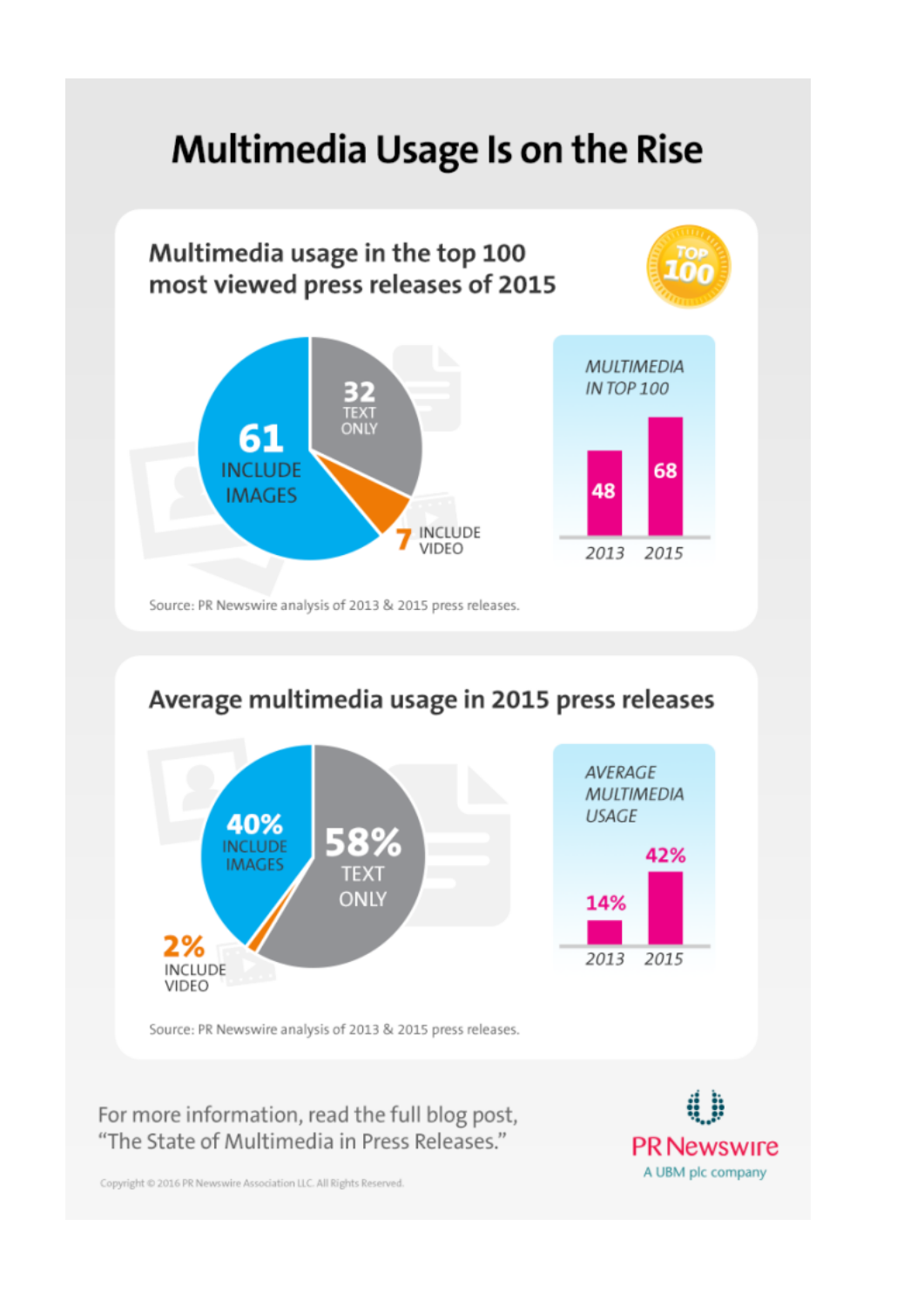## **Multimedia Usage Is on the Rise**